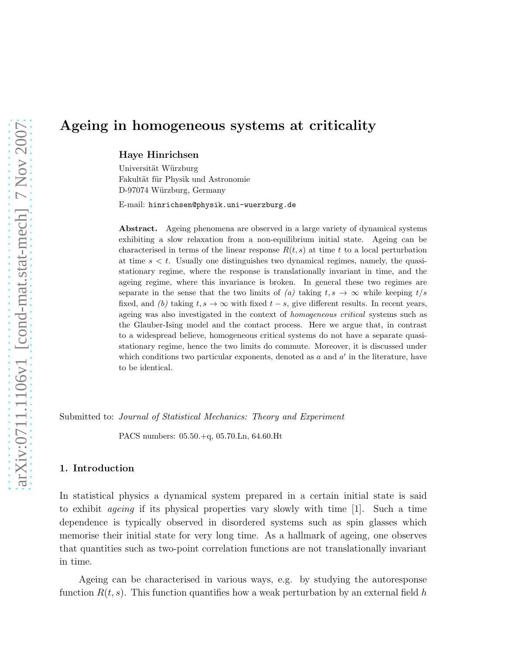# Ageing in homogeneous systems at criticality

Haye Hinrichsen

Universität Würzburg Fakultät für Physik und Astronomie D-97074 Würzburg, Germany

E-mail: hinrichsen@physik.uni-wuerzburg.de

Abstract. Ageing phenomena are observed in a large variety of dynamical systems exhibiting a slow relaxation from a non-equilibrium initial state. Ageing can be characterised in terms of the linear response  $R(t, s)$  at time t to a local perturbation at time  $s < t$ . Usually one distinguishes two dynamical regimes, namely, the quasistationary regime, where the response is translationally invariant in time, and the ageing regime, where this invariance is broken. In general these two regimes are separate in the sense that the two limits of *(a)* taking  $t, s \rightarrow \infty$  while keeping  $t/s$ fixed, and *(b)* taking  $t, s \to \infty$  with fixed  $t - s$ , give different results. In recent years, ageing was also investigated in the context of *homogeneous critical* systems such as the Glauber-Ising model and the contact process. Here we argue that, in contrast to a widespread believe, homogeneous critical systems do not have a separate quasistationary regime, hence the two limits do commute. Moreover, it is discussed under which conditions two particular exponents, denoted as  $a$  and  $a'$  in the literature, have to be identical.

Submitted to: *Journal of Statistical Mechanics: Theory and Experiment*

PACS numbers: 05.50.+q, 05.70.Ln, 64.60.Ht

# 1. Introduction

In statistical physics a dynamical system prepared in a certain initial state is said to exhibit ageing if its physical properties vary slowly with time [1]. Such a time dependence is typically observed in disordered systems such as spin glasses which memorise their initial state for very long time. As a hallmark of ageing, one observes that quantities such as two-point correlation functions are not translationally invariant in time.

Ageing can be characterised in various ways, e.g. by studying the autoresponse function  $R(t, s)$ . This function quantifies how a weak perturbation by an external field h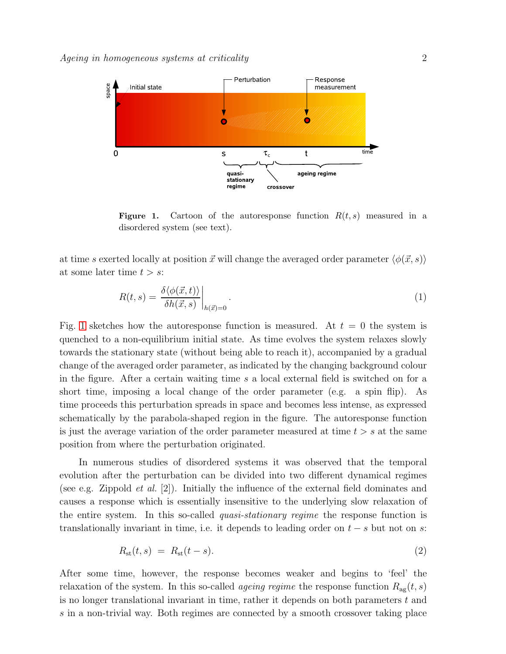

<span id="page-1-0"></span>**Figure 1.** Cartoon of the autoresponse function  $R(t, s)$  measured in a disordered system (see text).

at time s exerted locally at position  $\vec{x}$  will change the averaged order parameter  $\langle \phi(\vec{x}, s) \rangle$ at some later time  $t > s$ :

$$
R(t,s) = \frac{\delta \langle \phi(\vec{x},t) \rangle}{\delta h(\vec{x},s)} \bigg|_{h(\vec{x})=0}.
$$
\n(1)

Fig. [1](#page-1-0) sketches how the autoresponse function is measured. At  $t = 0$  the system is quenched to a non-equilibrium initial state. As time evolves the system relaxes slowly towards the stationary state (without being able to reach it), accompanied by a gradual change of the averaged order parameter, as indicated by the changing background colour in the figure. After a certain waiting time s a local external field is switched on for a short time, imposing a local change of the order parameter (e.g. a spin flip). As time proceeds this perturbation spreads in space and becomes less intense, as expressed schematically by the parabola-shaped region in the figure. The autoresponse function is just the average variation of the order parameter measured at time  $t > s$  at the same position from where the perturbation originated.

In numerous studies of disordered systems it was observed that the temporal evolution after the perturbation can be divided into two different dynamical regimes (see e.g. Zippold *et al.* [2]). Initially the influence of the external field dominates and causes a response which is essentially insensitive to the underlying slow relaxation of the entire system. In this so-called quasi-stationary regime the response function is translationally invariant in time, i.e. it depends to leading order on  $t - s$  but not on s:

<span id="page-1-1"></span>
$$
R_{\rm st}(t,s) = R_{\rm st}(t-s). \tag{2}
$$

After some time, however, the response becomes weaker and begins to 'feel' the relaxation of the system. In this so-called *ageing regime* the response function  $R_{\text{ag}}(t, s)$ is no longer translational invariant in time, rather it depends on both parameters  $t$  and s in a non-trivial way. Both regimes are connected by a smooth crossover taking place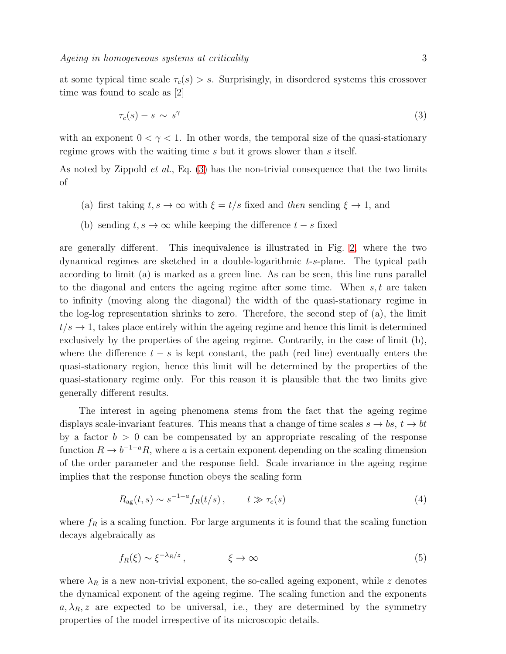at some typical time scale  $\tau_c(s) > s$ . Surprisingly, in disordered systems this crossover time was found to scale as [2]

<span id="page-2-0"></span>
$$
\tau_c(s) - s \sim s^\gamma \tag{3}
$$

with an exponent  $0 < \gamma < 1$ . In other words, the temporal size of the quasi-stationary regime grows with the waiting time s but it grows slower than s itself.

As noted by Zippold *et al.*, Eq.  $(3)$  has the non-trivial consequence that the two limits of

- (a) first taking  $t, s \to \infty$  with  $\xi = t/s$  fixed and then sending  $\xi \to 1$ , and
- (b) sending  $t, s \to \infty$  while keeping the difference  $t s$  fixed

are generally different. This inequivalence is illustrated in Fig. [2,](#page-3-0) where the two dynamical regimes are sketched in a double-logarithmic t-s-plane. The typical path according to limit (a) is marked as a green line. As can be seen, this line runs parallel to the diagonal and enters the ageing regime after some time. When  $s, t$  are taken to infinity (moving along the diagonal) the width of the quasi-stationary regime in the log-log representation shrinks to zero. Therefore, the second step of (a), the limit  $t/s \to 1$ , takes place entirely within the ageing regime and hence this limit is determined exclusively by the properties of the ageing regime. Contrarily, in the case of limit (b), where the difference  $t - s$  is kept constant, the path (red line) eventually enters the quasi-stationary region, hence this limit will be determined by the properties of the quasi-stationary regime only. For this reason it is plausible that the two limits give generally different results.

The interest in ageing phenomena stems from the fact that the ageing regime displays scale-invariant features. This means that a change of time scales  $s \to bs$ ,  $t \to bt$ by a factor  $b > 0$  can be compensated by an appropriate rescaling of the response function  $R \to b^{-1-a}R$ , where a is a certain exponent depending on the scaling dimension of the order parameter and the response field. Scale invariance in the ageing regime implies that the response function obeys the scaling form

<span id="page-2-1"></span>
$$
R_{\rm ag}(t,s) \sim s^{-1-a} f_R(t/s) \,, \qquad t \gg \tau_c(s) \tag{4}
$$

where  $f_R$  is a scaling function. For large arguments it is found that the scaling function decays algebraically as

$$
f_R(\xi) \sim \xi^{-\lambda_R/z} \,, \qquad \xi \to \infty \tag{5}
$$

where  $\lambda_R$  is a new non-trivial exponent, the so-called ageing exponent, while z denotes the dynamical exponent of the ageing regime. The scaling function and the exponents  $a, \lambda_R, z$  are expected to be universal, i.e., they are determined by the symmetry properties of the model irrespective of its microscopic details.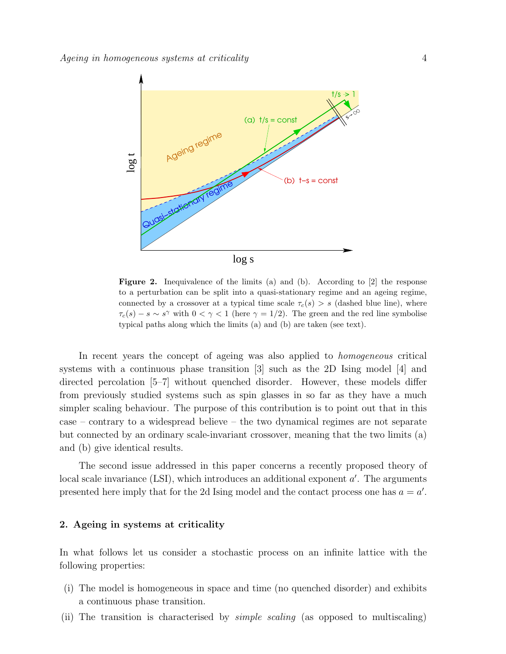

<span id="page-3-0"></span>Figure 2. Inequivalence of the limits (a) and (b). According to [2] the response to a perturbation can be split into a quasi-stationary regime and an ageing regime, connected by a crossover at a typical time scale  $\tau_c(s) > s$  (dashed blue line), where  $\tau_c(s) - s \sim s^{\gamma}$  with  $0 < \gamma < 1$  (here  $\gamma = 1/2$ ). The green and the red line symbolise typical paths along which the limits (a) and (b) are taken (see text).

In recent years the concept of ageing was also applied to homogeneous critical systems with a continuous phase transition [3] such as the 2D Ising model [4] and directed percolation [5–7] without quenched disorder. However, these models differ from previously studied systems such as spin glasses in so far as they have a much simpler scaling behaviour. The purpose of this contribution is to point out that in this case – contrary to a widespread believe – the two dynamical regimes are not separate but connected by an ordinary scale-invariant crossover, meaning that the two limits (a) and (b) give identical results.

The second issue addressed in this paper concerns a recently proposed theory of local scale invariance (LSI), which introduces an additional exponent  $a'$ . The arguments presented here imply that for the 2d Ising model and the contact process one has  $a = a'$ .

## 2. Ageing in systems at criticality

In what follows let us consider a stochastic process on an infinite lattice with the following properties:

- (i) The model is homogeneous in space and time (no quenched disorder) and exhibits a continuous phase transition.
- (ii) The transition is characterised by simple scaling (as opposed to multiscaling)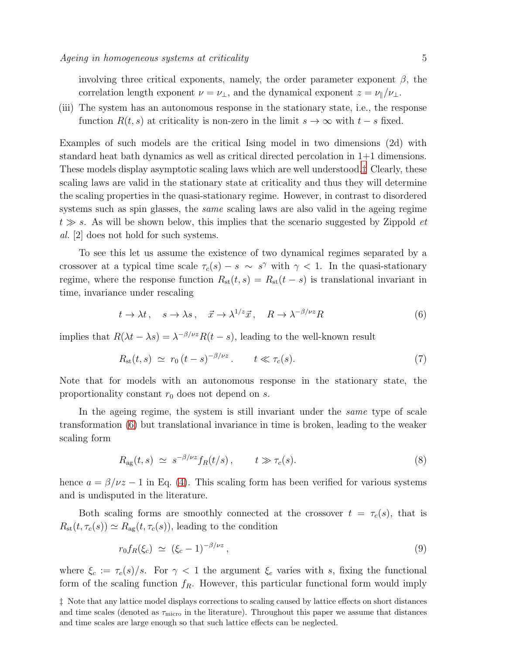involving three critical exponents, namely, the order parameter exponent  $\beta$ , the correlation length exponent  $\nu = \nu_{\perp}$ , and the dynamical exponent  $z = \nu_{\parallel}/\nu_{\perp}$ .

(iii) The system has an autonomous response in the stationary state, i.e., the response function  $R(t, s)$  at criticality is non-zero in the limit  $s \to \infty$  with  $t - s$  fixed.

Examples of such models are the critical Ising model in two dimensions (2d) with standard heat bath dynamics as well as critical directed percolation in 1+1 dimensions. These models display asymptotic scaling laws which are well understood.[‡](#page-4-0) Clearly, these scaling laws are valid in the stationary state at criticality and thus they will determine the scaling properties in the quasi-stationary regime. However, in contrast to disordered systems such as spin glasses, the *same* scaling laws are also valid in the ageing regime  $t \gg s$ . As will be shown below, this implies that the scenario suggested by Zippold  $et$ al. [2] does not hold for such systems.

To see this let us assume the existence of two dynamical regimes separated by a crossover at a typical time scale  $\tau_c(s) - s \sim s^{\gamma}$  with  $\gamma < 1$ . In the quasi-stationary regime, where the response function  $R_{st}(t, s) = R_{st}(t - s)$  is translational invariant in time, invariance under rescaling

<span id="page-4-1"></span>
$$
t \to \lambda t, \quad s \to \lambda s, \quad \vec{x} \to \lambda^{1/z} \vec{x}, \quad R \to \lambda^{-\beta/\nu z} R \tag{6}
$$

implies that  $R(\lambda t - \lambda s) = \lambda^{-\beta/\nu z} R(t - s)$ , leading to the well-known result

$$
R_{\rm st}(t,s) \simeq r_0 \left( t - s \right)^{-\beta/\nu z}. \qquad t \ll \tau_c(s). \tag{7}
$$

Note that for models with an autonomous response in the stationary state, the proportionality constant  $r_0$  does not depend on s.

In the ageing regime, the system is still invariant under the *same* type of scale transformation [\(6\)](#page-4-1) but translational invariance in time is broken, leading to the weaker scaling form

$$
R_{\rm ag}(t,s) \simeq s^{-\beta/\nu z} f_R(t/s), \qquad t \gg \tau_c(s). \tag{8}
$$

hence  $a = \beta/\nu z - 1$  in Eq. [\(4\)](#page-2-1). This scaling form has been verified for various systems and is undisputed in the literature.

Both scaling forms are smoothly connected at the crossover  $t = \tau_c(s)$ , that is  $R_{\rm st}(t, \tau_c(s)) \simeq R_{\rm ag}(t, \tau_c(s))$ , leading to the condition

<span id="page-4-2"></span>
$$
r_0 f_R(\xi_c) \simeq (\xi_c - 1)^{-\beta/\nu z}, \qquad (9)
$$

where  $\xi_c := \tau_c(s)/s$ . For  $\gamma < 1$  the argument  $\xi_c$  varies with s, fixing the functional form of the scaling function  $f_R$ . However, this particular functional form would imply

<span id="page-4-0"></span>‡ Note that any lattice model displays corrections to scaling caused by lattice effects on short distances and time scales (denoted as  $\tau_{\text{micro}}$  in the literature). Throughout this paper we assume that distances and time scales are large enough so that such lattice effects can be neglected.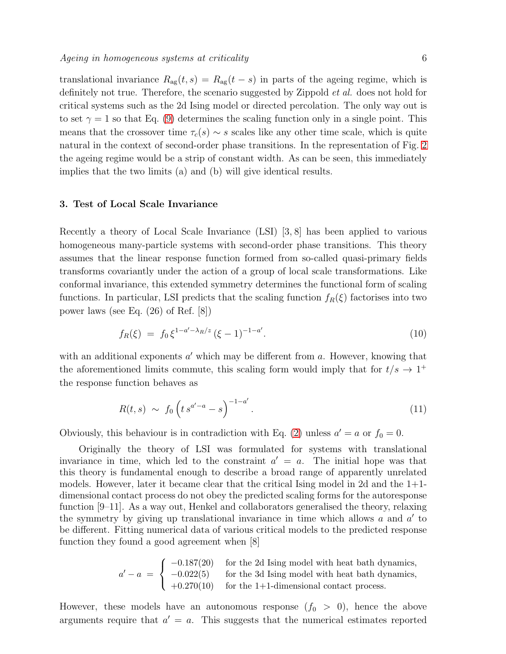translational invariance  $R_{\text{ag}}(t, s) = R_{\text{ag}}(t - s)$  in parts of the ageing regime, which is definitely not true. Therefore, the scenario suggested by Zippold et al. does not hold for critical systems such as the 2d Ising model or directed percolation. The only way out is to set  $\gamma = 1$  so that Eq. [\(9\)](#page-4-2) determines the scaling function only in a single point. This means that the crossover time  $\tau_c(s) \sim s$  scales like any other time scale, which is quite natural in the context of second-order phase transitions. In the representation of Fig. [2](#page-3-0) the ageing regime would be a strip of constant width. As can be seen, this immediately implies that the two limits (a) and (b) will give identical results.

#### 3. Test of Local Scale Invariance

Recently a theory of Local Scale Invariance (LSI) [3, 8] has been applied to various homogeneous many-particle systems with second-order phase transitions. This theory assumes that the linear response function formed from so-called quasi-primary fields transforms covariantly under the action of a group of local scale transformations. Like conformal invariance, this extended symmetry determines the functional form of scaling functions. In particular, LSI predicts that the scaling function  $f_R(\xi)$  factorises into two power laws (see Eq. (26) of Ref. [8])

$$
f_R(\xi) = f_0 \xi^{1 - a' - \lambda_R/z} (\xi - 1)^{-1 - a'}.
$$
\n(10)

with an additional exponents  $a'$  which may be different from  $a$ . However, knowing that the aforementioned limits commute, this scaling form would imply that for  $t/s \to 1^+$ the response function behaves as

$$
R(t,s) \sim f_0 \left( t \, s^{a'-a} - s \right)^{-1-a'}.
$$
 (11)

Obviously, this behaviour is in contradiction with Eq. [\(2\)](#page-1-1) unless  $a' = a$  or  $f_0 = 0$ .

Originally the theory of LSI was formulated for systems with translational invariance in time, which led to the constraint  $a' = a$ . The initial hope was that this theory is fundamental enough to describe a broad range of apparently unrelated models. However, later it became clear that the critical Ising model in 2d and the  $1+1$ dimensional contact process do not obey the predicted scaling forms for the autoresponse function [9–11]. As a way out, Henkel and collaborators generalised the theory, relaxing the symmetry by giving up translational invariance in time which allows  $a$  and  $a'$  to be different. Fitting numerical data of various critical models to the predicted response function they found a good agreement when [8]

> $a'-a =$  $\sqrt{ }$  $\left\vert \right\vert$  $\mathcal{L}$ −0.187(20) for the 2d Ising model with heat bath dynamics, −0.022(5) for the 3d Ising model with heat bath dynamics,  $+0.270(10)$  for the 1+1-dimensional contact process.

However, these models have an autonomous response  $(f_0 > 0)$ , hence the above arguments require that  $a' = a$ . This suggests that the numerical estimates reported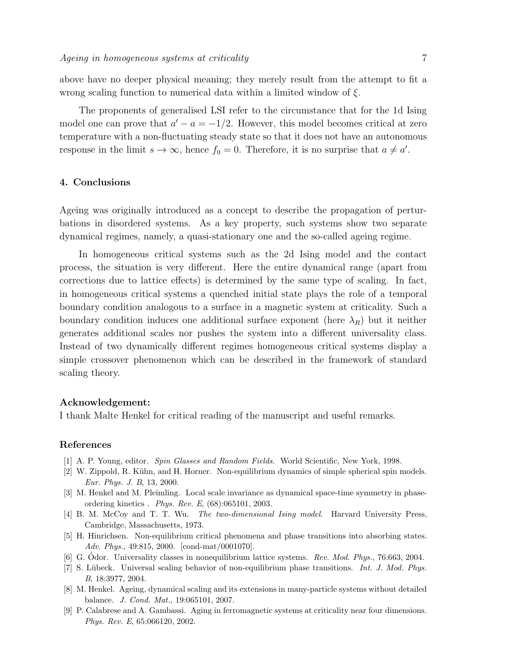above have no deeper physical meaning; they merely result from the attempt to fit a wrong scaling function to numerical data within a limited window of  $\xi$ .

The proponents of generalised LSI refer to the circumstance that for the 1d Ising model one can prove that  $a' - a = -1/2$ . However, this model becomes critical at zero temperature with a non-fluctuating steady state so that it does not have an autonomous response in the limit  $s \to \infty$ , hence  $f_0 = 0$ . Therefore, it is no surprise that  $a \neq a'$ .

## 4. Conclusions

Ageing was originally introduced as a concept to describe the propagation of perturbations in disordered systems. As a key property, such systems show two separate dynamical regimes, namely, a quasi-stationary one and the so-called ageing regime.

In homogeneous critical systems such as the 2d Ising model and the contact process, the situation is very different. Here the entire dynamical range (apart from corrections due to lattice effects) is determined by the same type of scaling. In fact, in homogeneous critical systems a quenched initial state plays the role of a temporal boundary condition analogous to a surface in a magnetic system at criticality. Such a boundary condition induces one additional surface exponent (here  $\lambda_R$ ) but it neither generates additional scales nor pushes the system into a different universality class. Instead of two dynamically different regimes homogeneous critical systems display a simple crossover phenomenon which can be described in the framework of standard scaling theory.

#### Acknowledgement:

I thank Malte Henkel for critical reading of the manuscript and useful remarks.

# References

- [1] A. P. Young, editor. *Spin Glasses and Random Fields*. World Scientific, New York, 1998.
- [2] W. Zippold, R. Kühn, and H. Horner. Non-equilibrium dynamics of simple spherical spin models. *Eur. Phys. J. B*, 13, 2000.
- [3] M. Henkel and M. Pleimling. Local scale invariance as dynamical space-time symmetry in phaseordering kinetics . *Phys. Rev. E*, (68):065101, 2003.
- [4] B. M. McCoy and T. T. Wu. *The two-dimensional Ising model*. Harvard University Press, Cambridge, Massachusetts, 1973.
- [5] H. Hinrichsen. Non-equilibrium critical phenomena and phase transitions into absorbing states. *Adv. Phys.*, 49:815, 2000. [cond-mat/0001070].
- [6] G. Odor. Universality classes in nonequilibrium lattice systems. ´ *Rev. Mod. Phys.*, 76:663, 2004.
- [7] S. L¨ubeck. Universal scaling behavior of non-equilibrium phase transitions. *Int. J. Mod. Phys. B*, 18:3977, 2004.
- [8] M. Henkel. Ageing, dynamical scaling and its extensions in many-particle systems without detailed balance. *J. Cond. Mat.*, 19:065101, 2007.
- [9] P. Calabrese and A. Gambassi. Aging in ferromagnetic systems at criticality near four dimensions. *Phys. Rev. E*, 65:066120, 2002.